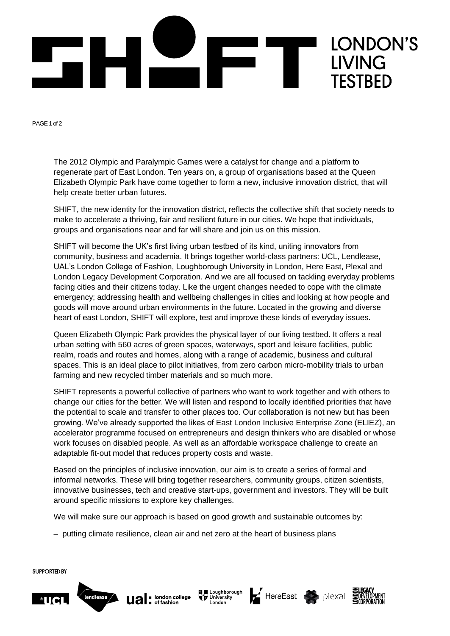

PAGE 1 of 2

The 2012 Olympic and Paralympic Games were a catalyst for change and a platform to regenerate part of East London. Ten years on, a group of organisations based at the Queen Elizabeth Olympic Park have come together to form a new, inclusive innovation district, that will help create better urban futures.

SHIFT, the new identity for the innovation district, reflects the collective shift that society needs to make to accelerate a thriving, fair and resilient future in our cities. We hope that individuals, groups and organisations near and far will share and join us on this mission.

SHIFT will become the UK's first living urban testbed of its kind, uniting innovators from community, business and academia. It brings together world-class partners: UCL, Lendlease, UAL's London College of Fashion, Loughborough University in London, Here East, Plexal and London Legacy Development Corporation. And we are all focused on tackling everyday problems facing cities and their citizens today. Like the urgent changes needed to cope with the climate emergency; addressing health and wellbeing challenges in cities and looking at how people and goods will move around urban environments in the future. Located in the growing and diverse heart of east London, SHIFT will explore, test and improve these kinds of everyday issues.

Queen Elizabeth Olympic Park provides the physical layer of our living testbed. It offers a real urban setting with 560 acres of green spaces, waterways, sport and leisure facilities, public realm, roads and routes and homes, along with a range of academic, business and cultural spaces. This is an ideal place to pilot initiatives, from zero carbon micro-mobility trials to urban farming and new recycled timber materials and so much more.

SHIFT represents a powerful collective of partners who want to work together and with others to change our cities for the better. We will listen and respond to locally identified priorities that have the potential to scale and transfer to other places too. Our collaboration is not new but has been growing. We've already supported the likes of East London Inclusive Enterprise Zone (ELIEZ), an accelerator programme focused on entrepreneurs and design thinkers who are disabled or whose work focuses on disabled people. As well as an affordable workspace challenge to create an adaptable fit-out model that reduces property costs and waste.

Based on the principles of inclusive innovation, our aim is to create a series of formal and informal networks. These will bring together researchers, community groups, citizen scientists, innovative businesses, tech and creative start-ups, government and investors. They will be built around specific missions to explore key challenges.

We will make sure our approach is based on good growth and sustainable outcomes by:

– putting climate resilience, clean air and net zero at the heart of business plans

**SUPPORTED BY** 





ほ ■ Loughborough<br>● ア University<br>London